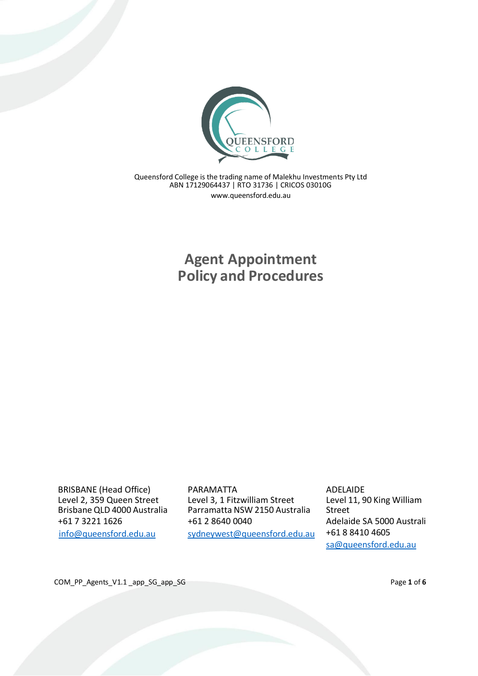

Queensford College is the trading name of Malekhu Investments Pty Ltd ABN 17129064437 | RTO 31736 | CRICOS 03010G [www.queensford.edu.au](http://www.queensford.edu.au/)

> **Agent Appointment Policy and Procedures**

BRISBANE (Head Office) Level 2, 359 Queen Street Brisbane QLD 4000 Australia +61 7 3221 1626 [info@queensford.edu.au](mailto:info@queensford.edu.au)

PARAMATTA Level 3, 1 Fitzwilliam Street Parramatta NSW 2150 Australia +61 2 8640 0040 [sydneywest@queensford.edu.au](mailto:sydneywest@queensford.edu.au)

ADELAIDE Level 11, 90 King William Street Adelaide SA 5000 Australi +61 8 8410 4605 [sa@queensford.edu.au](mailto:sa@queensford.edu.au)

COM\_PP\_Agents\_V1.1 \_app\_SG\_app\_SG **Access** Page 1 of 6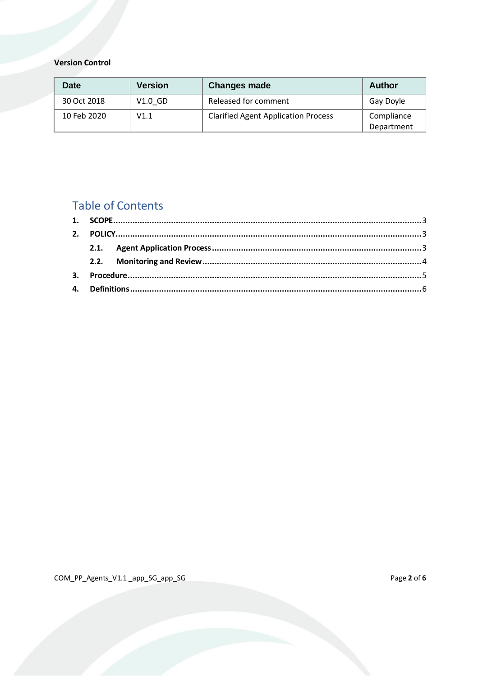**Version Control** 

| Date        | <b>Version</b> | <b>Changes made</b>                        | <b>Author</b> |
|-------------|----------------|--------------------------------------------|---------------|
| 30 Oct 2018 | $V1.0$ GD      | Released for comment                       | Gay Doyle     |
| 10 Feb 2020 | V1.1           | <b>Clarified Agent Application Process</b> | Compliance    |
|             |                |                                            | Department    |

# **Table of Contents**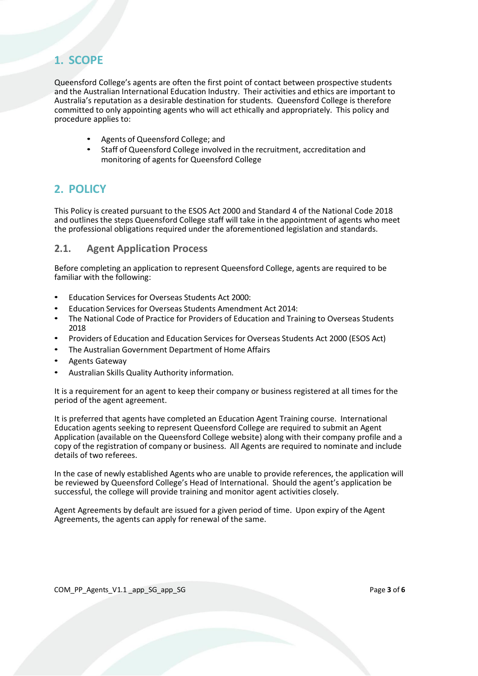## <span id="page-2-0"></span>**1. SCOPE**

Queensford College's agents are often the first point of contact between prospective students and the Australian International Education Industry. Their activities and ethics are important to Australia's reputation as a desirable destination for students. Queensford College is therefore committed to only appointing agents who will act ethically and appropriately. This policy and procedure applies to:

- Agents of Queensford College; and
- Staff of Queensford College involved in the recruitment, accreditation and monitoring of agents for Queensford College

## <span id="page-2-1"></span>**2. POLICY**

This Policy is created pursuant to the ESOS Act 2000 and Standard 4 of the National Code 2018 and outlines the steps Queensford College staff will take in the appointment of agents who meet the professional obligations required under the aforementioned legislation and standards.

### <span id="page-2-2"></span>**2.1. Agent Application Process**

Before completing an application to represent Queensford College, agents are required to be familiar with the following:

- Education Services for Overseas Students Act 2000:
- Education Services for Overseas Students Amendment Act 2014:
- The National Code of Practice for Providers of Education and Training to Overseas Students 2018
- Providers of Education and Education Services for Overseas Students Act 2000 (ESOS Act)
- The Australian Government Department of Home Affairs
- Agents Gateway
- Australian Skills Quality Authority information.

It is a requirement for an agent to keep their company or business registered at all times for the period of the agent agreement.

It is preferred that agents have completed an Education Agent Training course. International Education agents seeking to represent Queensford College are required to submit an Agent Application (available on the Queensford College website) along with their company profile and a copy of the registration of company or business. All Agents are required to nominate and include details of two referees.

In the case of newly established Agents who are unable to provide references, the application will be reviewed by Queensford College's Head of International. Should the agent's application be successful, the college will provide training and monitor agent activities closely.

Agent Agreements by default are issued for a given period of time. Upon expiry of the Agent Agreements, the agents can apply for renewal of the same.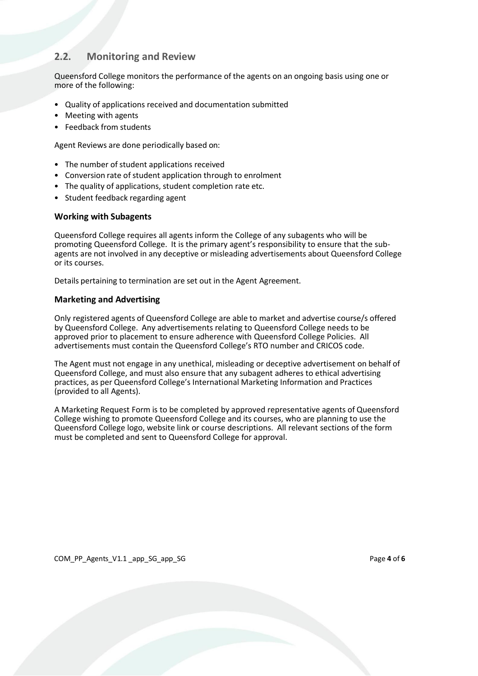### <span id="page-3-0"></span>**2.2. Monitoring and Review**

Queensford College monitors the performance of the agents on an ongoing basis using one or more of the following:

- Quality of applications received and documentation submitted
- Meeting with agents
- Feedback from students

Agent Reviews are done periodically based on:

- The number of student applications received
- Conversion rate of student application through to enrolment
- The quality of applications, student completion rate etc.
- Student feedback regarding agent

#### **Working with Subagents**

Queensford College requires all agents inform the College of any subagents who will be promoting Queensford College. It is the primary agent's responsibility to ensure that the subagents are not involved in any deceptive or misleading advertisements about Queensford College or its courses.

Details pertaining to termination are set out in the Agent Agreement.

#### **Marketing and Advertising**

Only registered agents of Queensford College are able to market and advertise course/s offered by Queensford College. Any advertisements relating to Queensford College needs to be approved prior to placement to ensure adherence with Queensford College Policies. All advertisements must contain the Queensford College's RTO number and CRICOS code.

The Agent must not engage in any unethical, misleading or deceptive advertisement on behalf of Queensford College, and must also ensure that any subagent adheres to ethical advertising practices, as per Queensford College's International Marketing Information and Practices (provided to all Agents).

A Marketing Request Form is to be completed by approved representative agents of Queensford College wishing to promote Queensford College and its courses, who are planning to use the Queensford College logo, website link or course descriptions. All relevant sections of the form must be completed and sent to Queensford College for approval.

COM PP Agents V1.1 app SG app SG **by COM** Page 4 of 6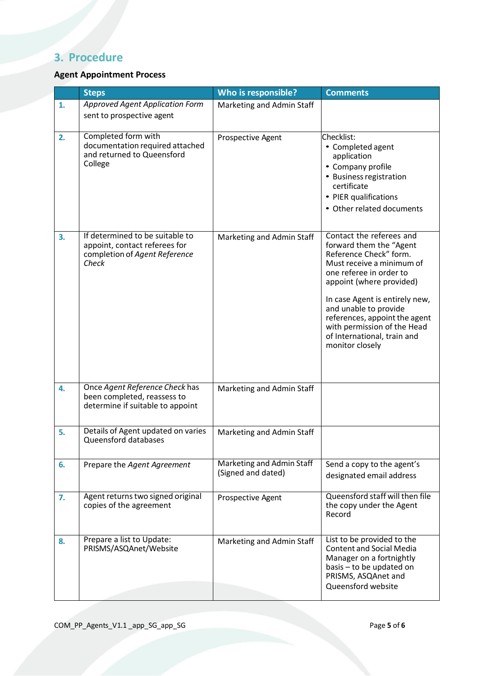# <span id="page-4-0"></span>**3. Procedure**

### **Agent Appointment Process**

|    | <b>Steps</b>                                                                                               | Who is responsible?                             | <b>Comments</b>                                                                                                                                                                                                                                                                                                                                |
|----|------------------------------------------------------------------------------------------------------------|-------------------------------------------------|------------------------------------------------------------------------------------------------------------------------------------------------------------------------------------------------------------------------------------------------------------------------------------------------------------------------------------------------|
| 1. | <b>Approved Agent Application Form</b><br>sent to prospective agent                                        | Marketing and Admin Staff                       |                                                                                                                                                                                                                                                                                                                                                |
| 2. | Completed form with<br>documentation required attached<br>and returned to Queensford<br>College            | Prospective Agent                               | Checklist:<br>• Completed agent<br>application<br>• Company profile<br>• Business registration<br>certificate<br>• PIER qualifications<br>• Other related documents                                                                                                                                                                            |
| 3. | If determined to be suitable to<br>appoint, contact referees for<br>completion of Agent Reference<br>Check | Marketing and Admin Staff                       | Contact the referees and<br>forward them the "Agent<br>Reference Check" form.<br>Must receive a minimum of<br>one referee in order to<br>appoint (where provided)<br>In case Agent is entirely new,<br>and unable to provide<br>references, appoint the agent<br>with permission of the Head<br>of International, train and<br>monitor closely |
| 4. | Once Agent Reference Check has<br>been completed, reassess to<br>determine if suitable to appoint          | Marketing and Admin Staff                       |                                                                                                                                                                                                                                                                                                                                                |
| 5. | Details of Agent updated on varies<br>Queensford databases                                                 | Marketing and Admin Staff                       |                                                                                                                                                                                                                                                                                                                                                |
| 6. | Prepare the Agent Agreement                                                                                | Marketing and Admin Staff<br>(Signed and dated) | Send a copy to the agent's<br>designated email address                                                                                                                                                                                                                                                                                         |
| 7. | Agent returns two signed original<br>copies of the agreement                                               | Prospective Agent                               | Queensford staff will then file<br>the copy under the Agent<br>Record                                                                                                                                                                                                                                                                          |
| 8. | Prepare a list to Update:<br>PRISMS/ASQAnet/Website                                                        | Marketing and Admin Staff                       | List to be provided to the<br><b>Content and Social Media</b><br>Manager on a fortnightly<br>basis - to be updated on<br>PRISMS, ASQAnet and<br>Queensford website                                                                                                                                                                             |